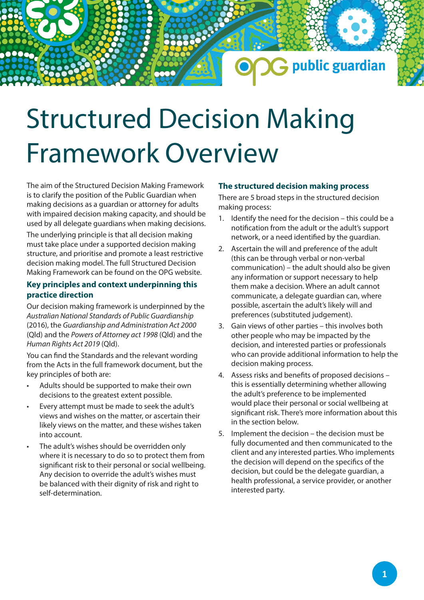# Structured Decision Making Framework Overview

The aim of the Structured Decision Making Framework is to clarify the position of the Public Guardian when making decisions as a guardian or attorney for adults with impaired decision making capacity, and should be used by all delegate guardians when making decisions.

The underlying principle is that all decision making must take place under a supported decision making structure, and prioritise and promote a least restrictive decision making model. The full Structured Decision Making Framework can be found on the OPG website.

### **Key principles and context underpinning this practice direction**

Our decision making framework is underpinned by the *Australian National Standards of Public Guardianship* (2016), the *Guardianship and Administration Act 2000* (Qld) and the *Powers of Attorney act 1998* (Qld) and the *Human Rights Act 2019* (Qld).

You can find the Standards and the relevant wording from the Acts in the full framework document, but the key principles of both are:

- Adults should be supported to make their own decisions to the greatest extent possible.
- Every attempt must be made to seek the adult's views and wishes on the matter, or ascertain their likely views on the matter, and these wishes taken into account.
- The adult's wishes should be overridden only where it is necessary to do so to protect them from significant risk to their personal or social wellbeing. Any decision to override the adult's wishes must be balanced with their dignity of risk and right to self-determination.

## **The structured decision making process**

There are 5 broad steps in the structured decision making process:

1. Identify the need for the decision – this could be a notification from the adult or the adult's support network, or a need identified by the guardian.

**G** public guardian

- 2. Ascertain the will and preference of the adult (this can be through verbal or non-verbal communication) – the adult should also be given any information or support necessary to help them make a decision. Where an adult cannot communicate, a delegate guardian can, where possible, ascertain the adult's likely will and preferences (substituted judgement).
- 3. Gain views of other parties this involves both other people who may be impacted by the decision, and interested parties or professionals who can provide additional information to help the decision making process.
- 4. Assess risks and benefits of proposed decisions this is essentially determining whether allowing the adult's preference to be implemented would place their personal or social wellbeing at significant risk. There's more information about this in the section below.
- 5. Implement the decision the decision must be fully documented and then communicated to the client and any interested parties. Who implements the decision will depend on the specifics of the decision, but could be the delegate guardian, a health professional, a service provider, or another interested party.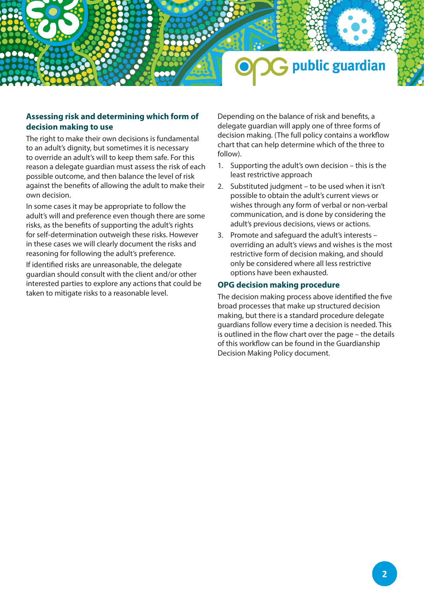

### **Assessing risk and determining which form of decision making to use**

The right to make their own decisions is fundamental to an adult's dignity, but sometimes it is necessary to override an adult's will to keep them safe. For this reason a delegate guardian must assess the risk of each possible outcome, and then balance the level of risk against the benefits of allowing the adult to make their own decision.

In some cases it may be appropriate to follow the adult's will and preference even though there are some risks, as the benefits of supporting the adult's rights for self-determination outweigh these risks. However in these cases we will clearly document the risks and reasoning for following the adult's preference.

If identified risks are unreasonable, the delegate guardian should consult with the client and/or other interested parties to explore any actions that could be taken to mitigate risks to a reasonable level.

Depending on the balance of risk and benefits, a delegate guardian will apply one of three forms of decision making. (The full policy contains a workflow chart that can help determine which of the three to follow).

- 1. Supporting the adult's own decision this is the least restrictive approach
- 2. Substituted judgment to be used when it isn't possible to obtain the adult's current views or wishes through any form of verbal or non-verbal communication, and is done by considering the adult's previous decisions, views or actions.
- 3. Promote and safeguard the adult's interests overriding an adult's views and wishes is the most restrictive form of decision making, and should only be considered where all less restrictive options have been exhausted.

### **OPG decision making procedure**

The decision making process above identified the five broad processes that make up structured decision making, but there is a standard procedure delegate guardians follow every time a decision is needed. This is outlined in the flow chart over the page – the details of this workflow can be found in the Guardianship Decision Making Policy document.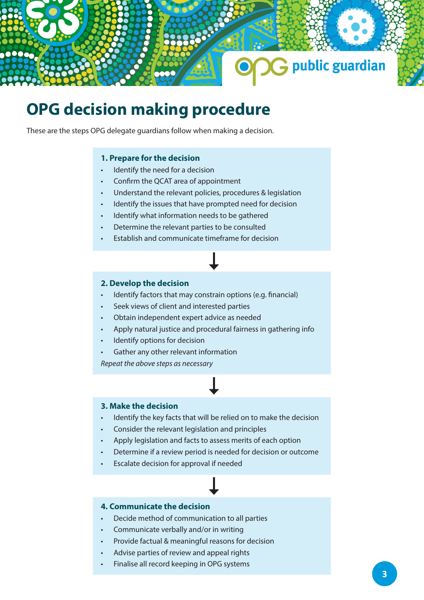

# **OPG decision making procedure**

These are the steps OPG delegate guardians follow when making a decision.

### **1. Prepare for the decision**

- Identify the need for a decision
- Confirm the QCAT area of appointment
- Understand the relevant policies, procedures & legislation
- Identify the issues that have prompted need for decision
- Identify what information needs to be gathered
- Determine the relevant parties to be consulted
- Establish and communicate timeframe for decision

### **2. Develop the decision**

- Identify factors that may constrain options (e.g. financial)
- Seek views of client and interested parties
- Obtain independent expert advice as needed
- Apply natural justice and procedural fairness in gathering info
- Identify options for decision
- Gather any other relevant information

*Repeat the above steps as necessary* 

### **3. Make the decision**

- Identify the key facts that will be relied on to make the decision
- Consider the relevant legislation and principles
- Apply legislation and facts to assess merits of each option
- Determine if a review period is needed for decision or outcome
- Escalate decision for approval if needed

### **4. Communicate the decision**

- Decide method of communication to all parties
- Communicate verbally and/or in writing
- Provide factual & meaningful reasons for decision
- Advise parties of review and appeal rights
- Finalise all record keeping in OPG systems